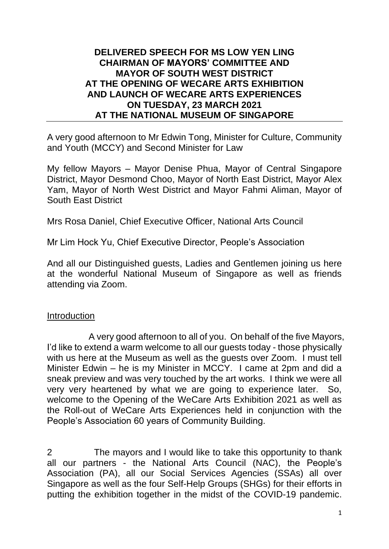## **DELIVERED SPEECH FOR MS LOW YEN LING CHAIRMAN OF MAYORS' COMMITTEE AND MAYOR OF SOUTH WEST DISTRICT AT THE OPENING OF WECARE ARTS EXHIBITION AND LAUNCH OF WECARE ARTS EXPERIENCES ON TUESDAY, 23 MARCH 2021 AT THE NATIONAL MUSEUM OF SINGAPORE**

A very good afternoon to Mr Edwin Tong, Minister for Culture, Community and Youth (MCCY) and Second Minister for Law

My fellow Mayors – Mayor Denise Phua, Mayor of Central Singapore District, Mayor Desmond Choo, Mayor of North East District, Mayor Alex Yam, Mayor of North West District and Mayor Fahmi Aliman, Mayor of South East District

Mrs Rosa Daniel, Chief Executive Officer, National Arts Council

Mr Lim Hock Yu, Chief Executive Director, People's Association

And all our Distinguished guests, Ladies and Gentlemen joining us here at the wonderful National Museum of Singapore as well as friends attending via Zoom.

## Introduction

A very good afternoon to all of you. On behalf of the five Mayors, I'd like to extend a warm welcome to all our guests today - those physically with us here at the Museum as well as the guests over Zoom. I must tell Minister Edwin – he is my Minister in MCCY. I came at 2pm and did a sneak preview and was very touched by the art works. I think we were all very very heartened by what we are going to experience later. So, welcome to the Opening of the WeCare Arts Exhibition 2021 as well as the Roll-out of WeCare Arts Experiences held in conjunction with the People's Association 60 years of Community Building.

2 The mayors and I would like to take this opportunity to thank all our partners - the National Arts Council (NAC), the People's Association (PA), all our Social Services Agencies (SSAs) all over Singapore as well as the four Self-Help Groups (SHGs) for their efforts in putting the exhibition together in the midst of the COVID-19 pandemic.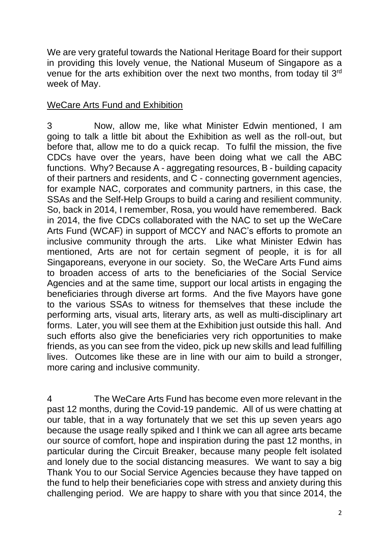We are very grateful towards the National Heritage Board for their support in providing this lovely venue, the National Museum of Singapore as a venue for the arts exhibition over the next two months, from today til 3rd week of May.

## WeCare Arts Fund and Exhibition

3 Now, allow me, like what Minister Edwin mentioned, I am going to talk a little bit about the Exhibition as well as the roll-out, but before that, allow me to do a quick recap. To fulfil the mission, the five CDCs have over the years, have been doing what we call the ABC functions. Why? Because A - aggregating resources, B - building capacity of their partners and residents, and C - connecting government agencies, for example NAC, corporates and community partners, in this case, the SSAs and the Self-Help Groups to build a caring and resilient community. So, back in 2014, I remember, Rosa, you would have remembered. Back in 2014, the five CDCs collaborated with the NAC to set up the WeCare Arts Fund (WCAF) in support of MCCY and NAC's efforts to promote an inclusive community through the arts. Like what Minister Edwin has mentioned, Arts are not for certain segment of people, it is for all Singaporeans, everyone in our society. So, the WeCare Arts Fund aims to broaden access of arts to the beneficiaries of the Social Service Agencies and at the same time, support our local artists in engaging the beneficiaries through diverse art forms. And the five Mayors have gone to the various SSAs to witness for themselves that these include the performing arts, visual arts, literary arts, as well as multi-disciplinary art forms. Later, you will see them at the Exhibition just outside this hall. And such efforts also give the beneficiaries very rich opportunities to make friends, as you can see from the video, pick up new skills and lead fulfilling lives. Outcomes like these are in line with our aim to build a stronger, more caring and inclusive community.

4 The WeCare Arts Fund has become even more relevant in the past 12 months, during the Covid-19 pandemic. All of us were chatting at our table, that in a way fortunately that we set this up seven years ago because the usage really spiked and I think we can all agree arts became our source of comfort, hope and inspiration during the past 12 months, in particular during the Circuit Breaker, because many people felt isolated and lonely due to the social distancing measures. We want to say a big Thank You to our Social Service Agencies because they have tapped on the fund to help their beneficiaries cope with stress and anxiety during this challenging period. We are happy to share with you that since 2014, the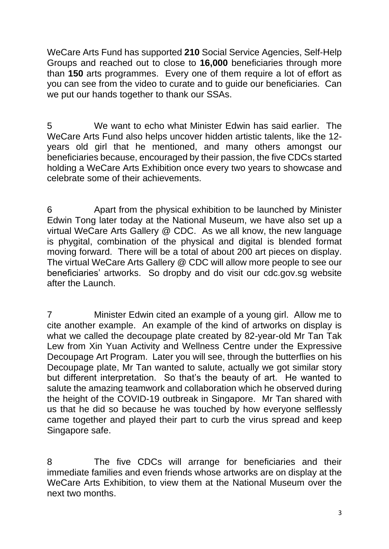WeCare Arts Fund has supported **210** Social Service Agencies, Self-Help Groups and reached out to close to **16,000** beneficiaries through more than **150** arts programmes. Every one of them require a lot of effort as you can see from the video to curate and to guide our beneficiaries. Can we put our hands together to thank our SSAs.

5 We want to echo what Minister Edwin has said earlier. The WeCare Arts Fund also helps uncover hidden artistic talents, like the 12 years old girl that he mentioned, and many others amongst our beneficiaries because, encouraged by their passion, the five CDCs started holding a WeCare Arts Exhibition once every two years to showcase and celebrate some of their achievements.

6 Apart from the physical exhibition to be launched by Minister Edwin Tong later today at the National Museum, we have also set up a virtual WeCare Arts Gallery @ CDC. As we all know, the new language is phygital, combination of the physical and digital is blended format moving forward. There will be a total of about 200 art pieces on display. The virtual WeCare Arts Gallery @ CDC will allow more people to see our beneficiaries' artworks. So dropby and do visit our cdc.gov.sg website after the Launch.

7 Minister Edwin cited an example of a young girl. Allow me to cite another example. An example of the kind of artworks on display is what we called the decoupage plate created by 82-year-old Mr Tan Tak Lew from Xin Yuan Activity and Wellness Centre under the Expressive Decoupage Art Program. Later you will see, through the butterflies on his Decoupage plate, Mr Tan wanted to salute, actually we got similar story but different interpretation. So that's the beauty of art. He wanted to salute the amazing teamwork and collaboration which he observed during the height of the COVID-19 outbreak in Singapore. Mr Tan shared with us that he did so because he was touched by how everyone selflessly came together and played their part to curb the virus spread and keep Singapore safe.

8 The five CDCs will arrange for beneficiaries and their immediate families and even friends whose artworks are on display at the WeCare Arts Exhibition, to view them at the National Museum over the next two months.